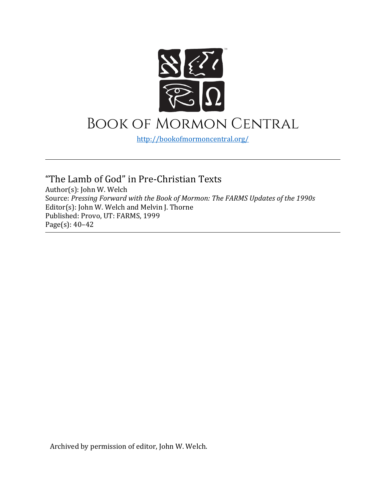

<http://bookofmormoncentral.org/>

"The Lamb of God" in Pre-Christian Texts Author(s): John W. Welch Source: *Pressing Forward with the Book of Mormon: The FARMS Updates of the 1990s*  Editor(s): John W. Welch and Melvin J. Thorne Published: Provo, UT: FARMS, 1999 Page(s): 40–42

Archived by permission of editor, John W. Welch.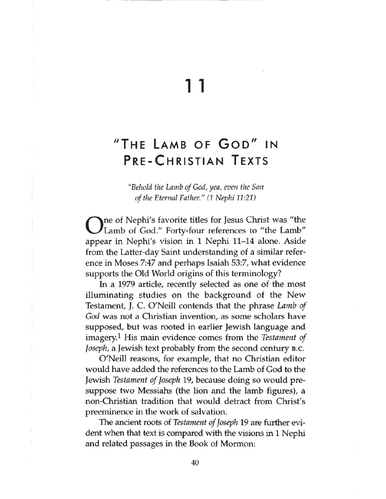## 11

## **"The La mb o f G o d " in PRE-CHRISTIAN TEXTS**

*"Behold the Lamb of God, yea, even the Son of the Eternal Father." (1 Nephi 11:21)*

O**ne of Nephi's favorite titles for Jesus Christ was "the Lamb of God." Forty-four references to "the Lamb" appear in Nephi's vision in 1 Nephi 11-14 alone. Aside from the Latter-day Saint understanding of a similar reference in Moses 7:47 and perhaps Isaiah 53:7, what evidence supports the Old World origins of this terminology?**

**In a 1979 article, recently selected as one of the most illuminating studies on the background of the New Testament, J. C. O'Neill contends that the phrase** *Lamb of God* **was not a Christian invention, as some scholars have supposed, but was rooted in earlier Jewish language and imagery.1 His main evidence comes from the** *Testament of Joseph*, a Jewish text probably from the second century B.C.

**O'Neill reasons, for example, that no Christian editor would have added the references to the Lamb of God to the Jewish** *Testament of Joseph* **19, because doing so would presuppose two Messiahs (the lion and the lamb figures), a non-Christian tradition that would detract from Christ's preeminence in the work of salvation.**

**The ancient roots of** *Testament of Joseph* **19 are further evident when that text is compared with the visions in 1 Nephi and related passages in the Book of Mormon:**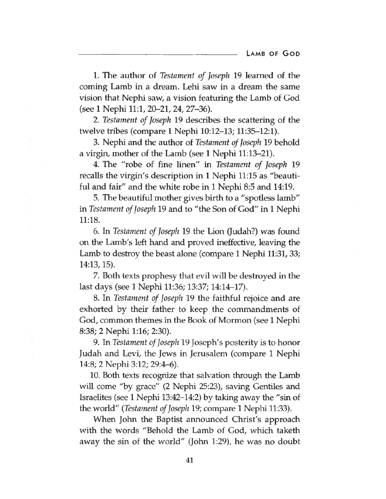**1. The author of** *Testament of Joseph* **19 learned of the coming Lamb in a dream. Lehi saw in a dream the same vision that Nephi saw, a vision featuring the Lamb of God (see 1 Nephi 11:1, 20-21,24, 27-36).**

**2.** *Testament of Joseph* **19 describes the scattering of the twelve tribes (compare 1 Nephi 10:12-13; 11:35-12:1).**

**3. Nephi and the author of** *Testament of Joseph* **19 behold a virgin, mother of the Lamb (see 1 Nephi 11:13-21).**

**4. The "robe of fine linen" in** *Testament of Joseph* **19 recalls the virgin's description in 1 Nephi 11:15 as "beautiful and fair" and the white robe in 1 Nephi 8:5 and 14:19.**

**5. The beautiful mother gives birth to a "spotless lamb" in** *Testament of Joseph* **19 and to "the Son of God" in 1 Nephi 11:18.**

**6. In** *Testament of Joseph* **19 the Lion (Judah?) was found on the Lamb's left hand and proved ineffective, leaving the Lamb to destroy the beast alone (compare 1 Nephi 11:31,33; 14:13,15).**

**7. Both texts prophesy that evil will be destroyed in the last days (see 1 Nephi 11:36; 13:37; 14:14-17).**

**8. In** *Testament of Joseph* **19 the faithful rejoice and are exhorted by their father to keep the commandments of God, common themes in the Book of Mormon (see 1 Nephi 8:38; 2 Nephi 1:16; 2:30).**

**9. In** *Testament of Joseph* **19 Joseph's posterity is to honor Judah and Levi, the Jews in Jerusalem (compare 1 Nephi 14:8; 2 Nephi 3:12; 29:4-6).**

**10. Both texts recognize that salvation through the Lamb will come "by grace" (2 Nephi 25:23), saving Gentiles and Israelites (see 1 Nephi 13:42-14:2) by taking away the "sin of the world" (***Testament of Joseph* **19; compare 1 Nephi 11:33).**

**When John the Baptist announced Christ's approach with the words "Behold the Lamb of God, which taketh away the sin of the world" (John 1:29), he was no doubt**